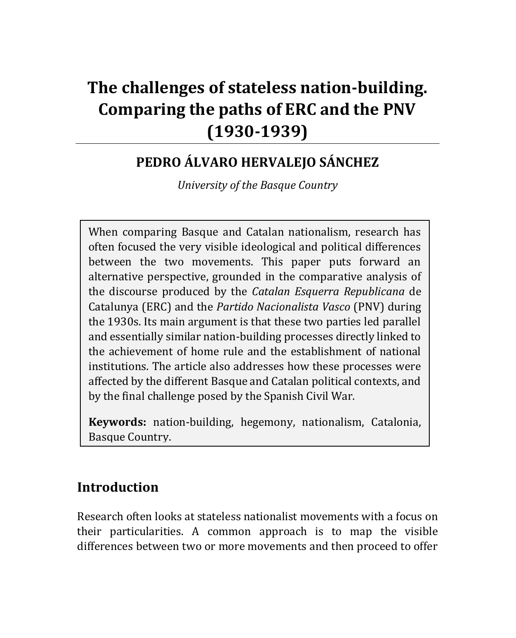# **The challenges of stateless nation-building. Comparing the paths of ERC and the PNV (1930-1939)**

## **PEDRO ÁLVARO HERVALEJO SÁNCHEZ**

*University of the Basque Country*

When comparing Basque and Catalan nationalism, research has often focused the very visible ideological and political differences between the two movements. This paper puts forward an alternative perspective, grounded in the comparative analysis of the discourse produced by the *Catalan Esquerra Republicana* de Catalunya (ERC) and the *Partido Nacionalista Vasco* (PNV) during the 1930s. Its main argument is that these two parties led parallel and essentially similar nation-building processes directly linked to the achievement of home rule and the establishment of national institutions. The article also addresses how these processes were affected by the different Basque and Catalan political contexts, and by the final challenge posed by the Spanish Civil War.

**Keywords:** nation-building, hegemony, nationalism, Catalonia, Basque Country.

## **Introduction**

Research often looks at stateless nationalist movements with a focus on their particularities. A common approach is to map the visible differences between two or more movements and then proceed to offer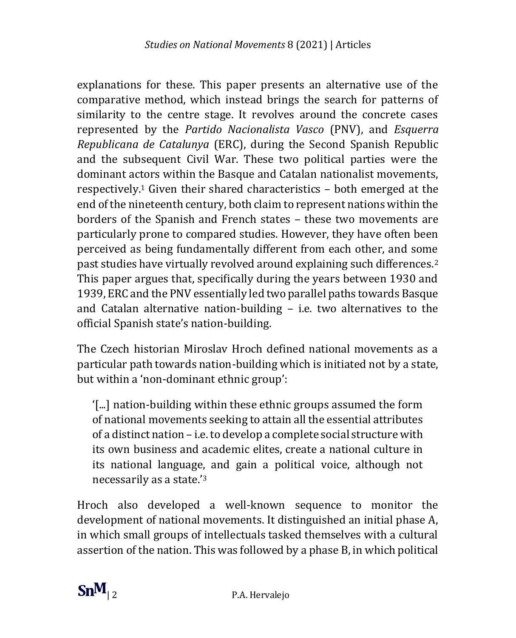explanations for these. This paper presents an alternative use of the comparative method, which instead brings the search for patterns of similarity to the centre stage. It revolves around the concrete cases represented by the *Partido Nacionalista Vasco* (PNV), and *Esquerra Republicana de Catalunya* (ERC), during the Second Spanish Republic and the subsequent Civil War. These two political parties were the dominant actors within the Basque and Catalan nationalist movements, respectively.<sup>1</sup> Given their shared characteristics – both emerged at the end of the nineteenth century, both claim to represent nations within the borders of the Spanish and French states – these two movements are particularly prone to compared studies. However, they have often been perceived as being fundamentally different from each other, and some past studies have virtually revolved around explaining such differences.<sup>2</sup> This paper argues that, specifically during the years between 1930 and 1939, ERC and the PNV essentially led two parallel paths towards Basque and Catalan alternative nation-building – i.e. two alternatives to the official Spanish state's nation-building.

The Czech historian Miroslav Hroch defined national movements as a particular path towards nation-building which is initiated not by a state, but within a 'non-dominant ethnic group':

'[...] nation-building within these ethnic groups assumed the form of national movements seeking to attain all the essential attributes of a distinct nation – i.e. to develop a complete social structure with its own business and academic elites, create a national culture in its national language, and gain a political voice, although not necessarily as a state.'<sup>3</sup>

Hroch also developed a well-known sequence to monitor the development of national movements. It distinguished an initial phase A, in which small groups of intellectuals tasked themselves with a cultural assertion of the nation. This was followed by a phase B, in which political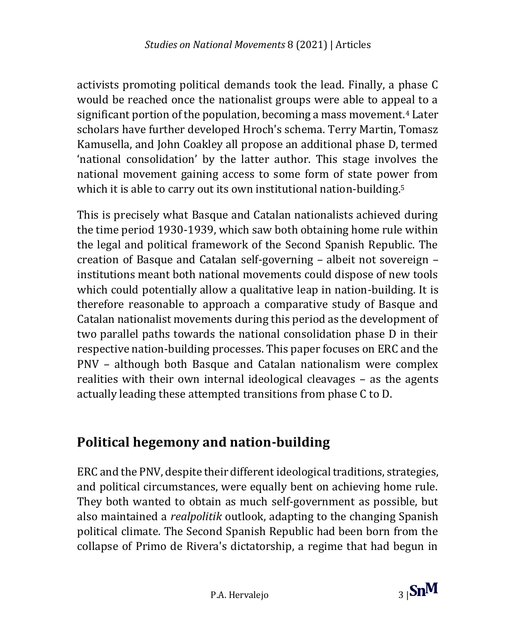activists promoting political demands took the lead. Finally, a phase C would be reached once the nationalist groups were able to appeal to a significant portion of the population, becoming a mass movement.<sup>4</sup> Later scholars have further developed Hroch's schema. Terry Martin, Tomasz Kamusella, and John Coakley all propose an additional phase D, termed 'national consolidation' by the latter author. This stage involves the national movement gaining access to some form of state power from which it is able to carry out its own institutional nation-building.<sup>5</sup>

This is precisely what Basque and Catalan nationalists achieved during the time period 1930-1939, which saw both obtaining home rule within the legal and political framework of the Second Spanish Republic. The creation of Basque and Catalan self-governing – albeit not sovereign – institutions meant both national movements could dispose of new tools which could potentially allow a qualitative leap in nation-building. It is therefore reasonable to approach a comparative study of Basque and Catalan nationalist movements during this period as the development of two parallel paths towards the national consolidation phase D in their respective nation-building processes. This paper focuses on ERC and the PNV – although both Basque and Catalan nationalism were complex realities with their own internal ideological cleavages – as the agents actually leading these attempted transitions from phase C to D.

## **Political hegemony and nation-building**

ERC and the PNV, despite their different ideological traditions, strategies, and political circumstances, were equally bent on achieving home rule. They both wanted to obtain as much self-government as possible, but also maintained a *realpolitik* outlook, adapting to the changing Spanish political climate. The Second Spanish Republic had been born from the collapse of Primo de Rivera's dictatorship, a regime that had begun in

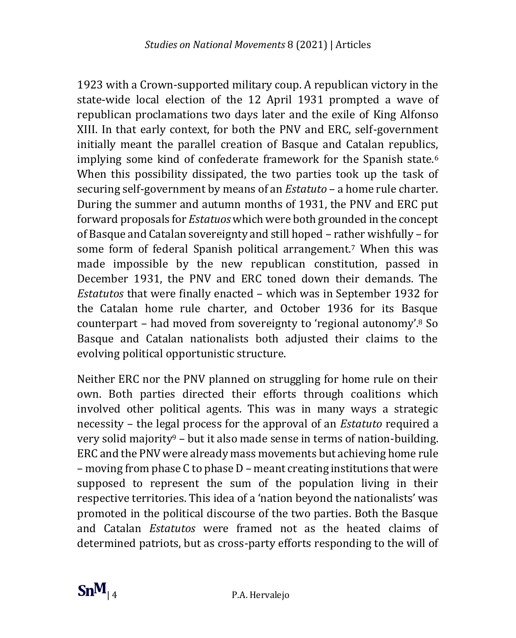1923 with a Crown-supported military coup. A republican victory in the state-wide local election of the 12 April 1931 prompted a wave of republican proclamations two days later and the exile of King Alfonso XIII. In that early context, for both the PNV and ERC, self-government initially meant the parallel creation of Basque and Catalan republics, implying some kind of confederate framework for the Spanish state.<sup>6</sup> When this possibility dissipated, the two parties took up the task of securing self-government by means of an *Estatuto* – a home rule charter. During the summer and autumn months of 1931, the PNV and ERC put forward proposals for *Estatuos* which were both grounded in the concept of Basque and Catalan sovereignty and still hoped – rather wishfully – for some form of federal Spanish political arrangement.<sup>7</sup> When this was made impossible by the new republican constitution, passed in December 1931, the PNV and ERC toned down their demands. The *Estatutos* that were finally enacted – which was in September 1932 for the Catalan home rule charter, and October 1936 for its Basque counterpart – had moved from sovereignty to 'regional autonomy'.<sup>8</sup> So Basque and Catalan nationalists both adjusted their claims to the evolving political opportunistic structure.

Neither ERC nor the PNV planned on struggling for home rule on their own. Both parties directed their efforts through coalitions which involved other political agents. This was in many ways a strategic necessity – the legal process for the approval of an *Estatuto* required a very solid majority<sup>9</sup> – but it also made sense in terms of nation-building. ERC and the PNV were already mass movements but achieving home rule – moving from phase C to phase D – meant creating institutions that were supposed to represent the sum of the population living in their respective territories. This idea of a 'nation beyond the nationalists' was promoted in the political discourse of the two parties. Both the Basque and Catalan *Estatutos* were framed not as the heated claims of determined patriots, but as cross-party efforts responding to the will of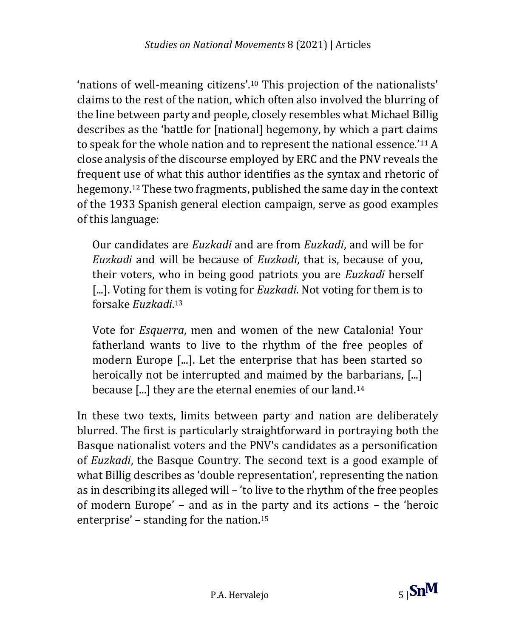'nations of well-meaning citizens'.<sup>10</sup> This projection of the nationalists' claims to the rest of the nation, which often also involved the blurring of the line between party and people, closely resembles what Michael Billig describes as the 'battle for [national] hegemony, by which a part claims to speak for the whole nation and to represent the national essence.'<sup>11</sup> A close analysis of the discourse employed by ERC and the PNV reveals the frequent use of what this author identifies as the syntax and rhetoric of hegemony.<sup>12</sup> These two fragments, published the same day in the context of the 1933 Spanish general election campaign, serve as good examples of this language:

Our candidates are *Euzkadi* and are from *Euzkadi*, and will be for *Euzkadi* and will be because of *Euzkadi*, that is, because of you, their voters, who in being good patriots you are *Euzkadi* herself [...]. Voting for them is voting for *Euzkadi*. Not voting for them is to forsake *Euzkadi*. 13

Vote for *Esquerra*, men and women of the new Catalonia! Your fatherland wants to live to the rhythm of the free peoples of modern Europe [...]. Let the enterprise that has been started so heroically not be interrupted and maimed by the barbarians, [...] because [...] they are the eternal enemies of our land.<sup>14</sup>

In these two texts, limits between party and nation are deliberately blurred. The first is particularly straightforward in portraying both the Basque nationalist voters and the PNV's candidates as a personification of *Euzkadi*, the Basque Country. The second text is a good example of what Billig describes as 'double representation', representing the nation as in describing its alleged will – 'to live to the rhythm of the free peoples of modern Europe' – and as in the party and its actions – the 'heroic enterprise' – standing for the nation.<sup>15</sup>

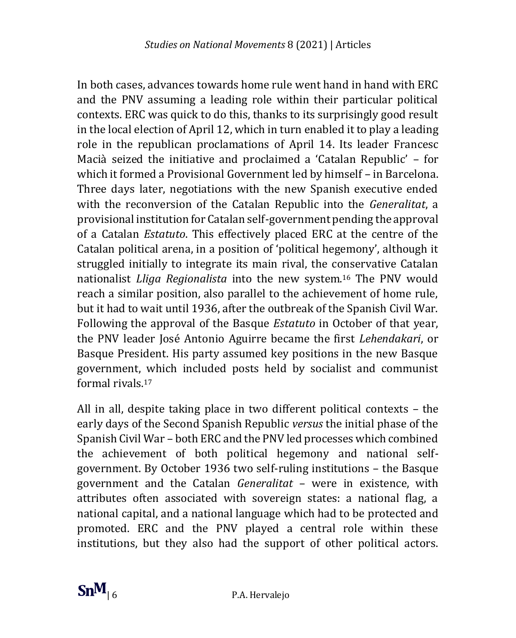In both cases, advances towards home rule went hand in hand with ERC and the PNV assuming a leading role within their particular political contexts. ERC was quick to do this, thanks to its surprisingly good result in the local election of April 12, which in turn enabled it to play a leading role in the republican proclamations of April 14. Its leader Francesc Macià seized the initiative and proclaimed a 'Catalan Republic' – for which it formed a Provisional Government led by himself – in Barcelona. Three days later, negotiations with the new Spanish executive ended with the reconversion of the Catalan Republic into the *Generalitat*, a provisional institution for Catalan self-government pending the approval of a Catalan *Estatuto*. This effectively placed ERC at the centre of the Catalan political arena, in a position of 'political hegemony', although it struggled initially to integrate its main rival, the conservative Catalan nationalist *Lliga Regionalista* into the new system.<sup>16</sup> The PNV would reach a similar position, also parallel to the achievement of home rule, but it had to wait until 1936, after the outbreak of the Spanish Civil War. Following the approval of the Basque *Estatuto* in October of that year, the PNV leader José Antonio Aguirre became the first *Lehendakari*, or Basque President. His party assumed key positions in the new Basque government, which included posts held by socialist and communist formal rivals.<sup>17</sup>

All in all, despite taking place in two different political contexts – the early days of the Second Spanish Republic *versus* the initial phase of the Spanish Civil War – both ERC and the PNV led processes which combined the achievement of both political hegemony and national selfgovernment. By October 1936 two self-ruling institutions – the Basque government and the Catalan *Generalitat* – were in existence, with attributes often associated with sovereign states: a national flag, a national capital, and a national language which had to be protected and promoted. ERC and the PNV played a central role within these institutions, but they also had the support of other political actors.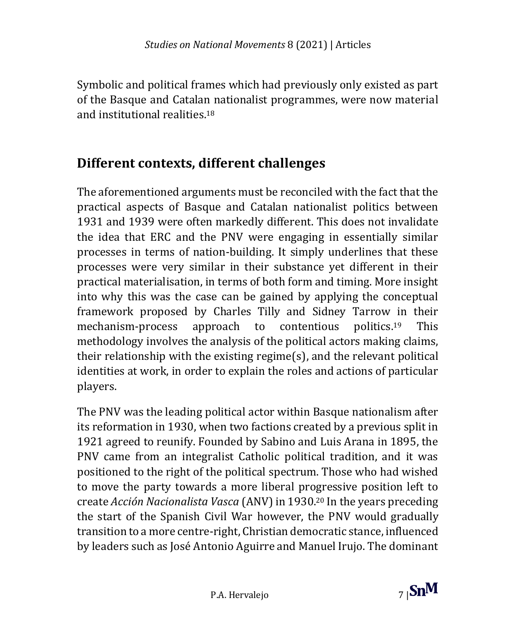Symbolic and political frames which had previously only existed as part of the Basque and Catalan nationalist programmes, were now material and institutional realities.<sup>18</sup>

#### **Different contexts, different challenges**

The aforementioned arguments must be reconciled with the fact that the practical aspects of Basque and Catalan nationalist politics between 1931 and 1939 were often markedly different. This does not invalidate the idea that ERC and the PNV were engaging in essentially similar processes in terms of nation-building. It simply underlines that these processes were very similar in their substance yet different in their practical materialisation, in terms of both form and timing. More insight into why this was the case can be gained by applying the conceptual framework proposed by Charles Tilly and Sidney Tarrow in their mechanism-process approach to contentious politics.<sup>19</sup> This methodology involves the analysis of the political actors making claims, their relationship with the existing regime(s), and the relevant political identities at work, in order to explain the roles and actions of particular players.

The PNV was the leading political actor within Basque nationalism after its reformation in 1930, when two factions created by a previous split in 1921 agreed to reunify. Founded by Sabino and Luis Arana in 1895, the PNV came from an integralist Catholic political tradition, and it was positioned to the right of the political spectrum. Those who had wished to move the party towards a more liberal progressive position left to create *Acción Nacionalista Vasca* (ANV) in 1930.<sup>20</sup> In the years preceding the start of the Spanish Civil War however, the PNV would gradually transition to a more centre-right, Christian democratic stance, influenced by leaders such as José Antonio Aguirre and Manuel Irujo. The dominant

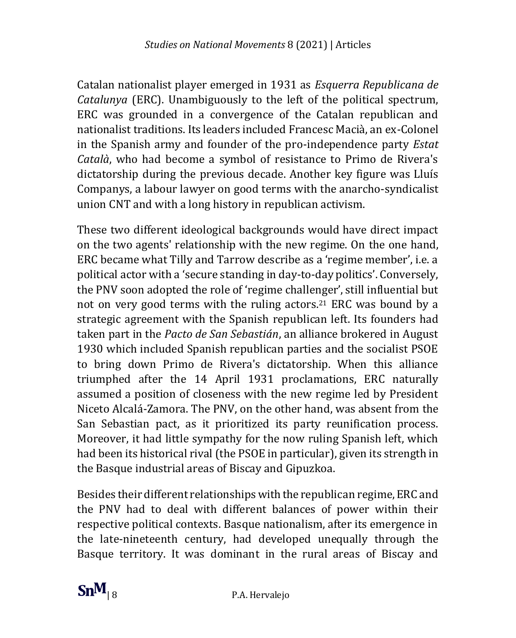Catalan nationalist player emerged in 1931 as *Esquerra Republicana de Catalunya* (ERC). Unambiguously to the left of the political spectrum, ERC was grounded in a convergence of the Catalan republican and nationalist traditions. Its leaders included Francesc Macià, an ex-Colonel in the Spanish army and founder of the pro-independence party *Estat Català*, who had become a symbol of resistance to Primo de Rivera's dictatorship during the previous decade. Another key figure was Lluís Companys, a labour lawyer on good terms with the anarcho-syndicalist union CNT and with a long history in republican activism.

These two different ideological backgrounds would have direct impact on the two agents' relationship with the new regime. On the one hand, ERC became what Tilly and Tarrow describe as a 'regime member', i.e. a political actor with a 'secure standing in day-to-day politics'. Conversely, the PNV soon adopted the role of 'regime challenger', still influential but not on very good terms with the ruling actors.<sup>21</sup> ERC was bound by a strategic agreement with the Spanish republican left. Its founders had taken part in the *Pacto de San Sebastián*, an alliance brokered in August 1930 which included Spanish republican parties and the socialist PSOE to bring down Primo de Rivera's dictatorship. When this alliance triumphed after the 14 April 1931 proclamations, ERC naturally assumed a position of closeness with the new regime led by President Niceto Alcalá-Zamora. The PNV, on the other hand, was absent from the San Sebastian pact, as it prioritized its party reunification process. Moreover, it had little sympathy for the now ruling Spanish left, which had been its historical rival (the PSOE in particular), given its strength in the Basque industrial areas of Biscay and Gipuzkoa.

Besides their different relationships with the republican regime, ERC and the PNV had to deal with different balances of power within their respective political contexts. Basque nationalism, after its emergence in the late-nineteenth century, had developed unequally through the Basque territory. It was dominant in the rural areas of Biscay and

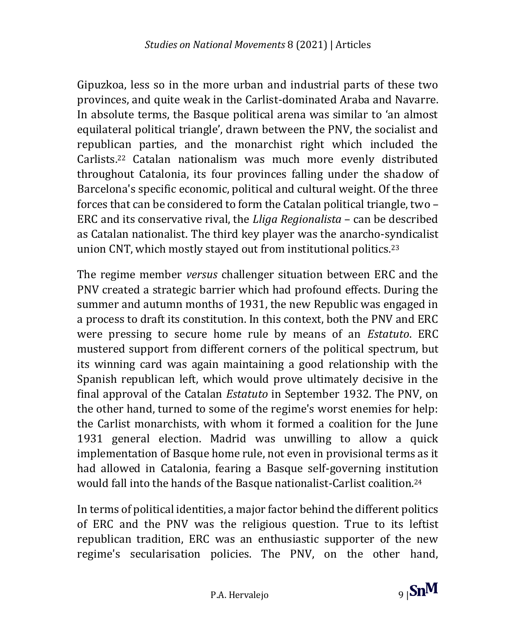Gipuzkoa, less so in the more urban and industrial parts of these two provinces, and quite weak in the Carlist-dominated Araba and Navarre. In absolute terms, the Basque political arena was similar to 'an almost equilateral political triangle', drawn between the PNV, the socialist and republican parties, and the monarchist right which included the Carlists.<sup>22</sup> Catalan nationalism was much more evenly distributed throughout Catalonia, its four provinces falling under the shadow of Barcelona's specific economic, political and cultural weight. Of the three forces that can be considered to form the Catalan political triangle, two – ERC and its conservative rival, the *Lliga Regionalista* – can be described as Catalan nationalist. The third key player was the anarcho-syndicalist union CNT, which mostly stayed out from institutional politics.<sup>23</sup>

The regime member *versus* challenger situation between ERC and the PNV created a strategic barrier which had profound effects. During the summer and autumn months of 1931, the new Republic was engaged in a process to draft its constitution. In this context, both the PNV and ERC were pressing to secure home rule by means of an *Estatuto*. ERC mustered support from different corners of the political spectrum, but its winning card was again maintaining a good relationship with the Spanish republican left, which would prove ultimately decisive in the final approval of the Catalan *Estatuto* in September 1932. The PNV, on the other hand, turned to some of the regime's worst enemies for help: the Carlist monarchists, with whom it formed a coalition for the June 1931 general election. Madrid was unwilling to allow a quick implementation of Basque home rule, not even in provisional terms as it had allowed in Catalonia, fearing a Basque self-governing institution would fall into the hands of the Basque nationalist-Carlist coalition.<sup>24</sup>

In terms of political identities, a major factor behind the different politics of ERC and the PNV was the religious question. True to its leftist republican tradition, ERC was an enthusiastic supporter of the new regime's secularisation policies. The PNV, on the other hand,

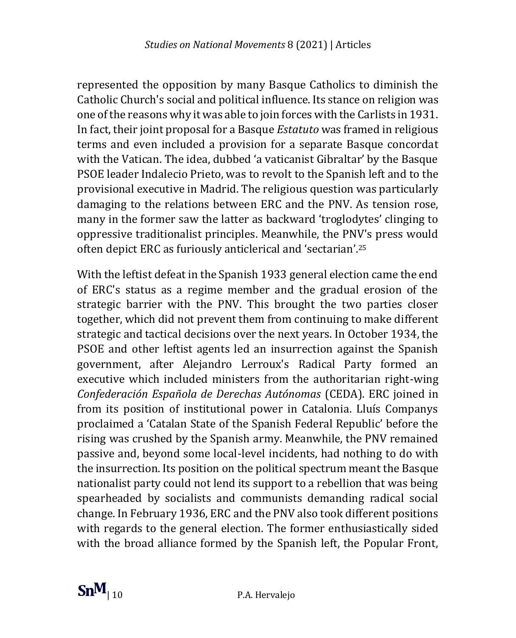represented the opposition by many Basque Catholics to diminish the Catholic Church's social and political influence. Its stance on religion was one of the reasons why it was able to join forces with the Carlists in 1931. In fact, their joint proposal for a Basque *Estatuto* was framed in religious terms and even included a provision for a separate Basque concordat with the Vatican. The idea, dubbed 'a vaticanist Gibraltar' by the Basque PSOE leader Indalecio Prieto, was to revolt to the Spanish left and to the provisional executive in Madrid. The religious question was particularly damaging to the relations between ERC and the PNV. As tension rose, many in the former saw the latter as backward 'troglodytes' clinging to oppressive traditionalist principles. Meanwhile, the PNV's press would often depict ERC as furiously anticlerical and 'sectarian'.<sup>25</sup>

With the leftist defeat in the Spanish 1933 general election came the end of ERC's status as a regime member and the gradual erosion of the strategic barrier with the PNV. This brought the two parties closer together, which did not prevent them from continuing to make different strategic and tactical decisions over the next years. In October 1934, the PSOE and other leftist agents led an insurrection against the Spanish government, after Alejandro Lerroux's Radical Party formed an executive which included ministers from the authoritarian right-wing *Confederación Española de Derechas Autónomas* (CEDA). ERC joined in from its position of institutional power in Catalonia. Lluís Companys proclaimed a 'Catalan State of the Spanish Federal Republic' before the rising was crushed by the Spanish army. Meanwhile, the PNV remained passive and, beyond some local-level incidents, had nothing to do with the insurrection. Its position on the political spectrum meant the Basque nationalist party could not lend its support to a rebellion that was being spearheaded by socialists and communists demanding radical social change. In February 1936, ERC and the PNV also took different positions with regards to the general election. The former enthusiastically sided with the broad alliance formed by the Spanish left, the Popular Front,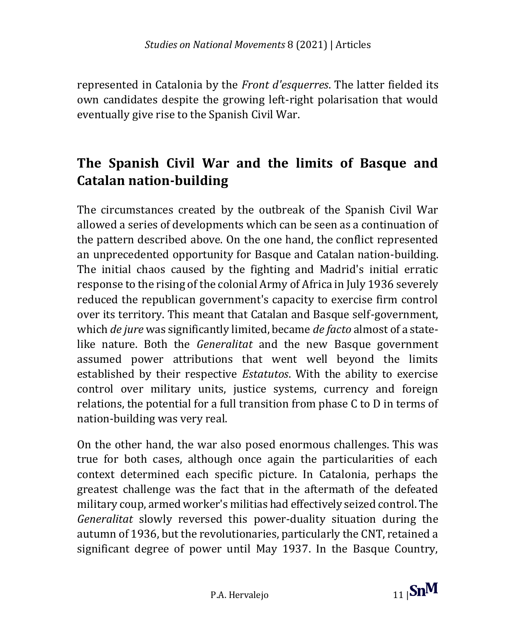represented in Catalonia by the *Front d'esquerres*. The latter fielded its own candidates despite the growing left-right polarisation that would eventually give rise to the Spanish Civil War.

#### **The Spanish Civil War and the limits of Basque and Catalan nation-building**

The circumstances created by the outbreak of the Spanish Civil War allowed a series of developments which can be seen as a continuation of the pattern described above. On the one hand, the conflict represented an unprecedented opportunity for Basque and Catalan nation-building. The initial chaos caused by the fighting and Madrid's initial erratic response to the rising of the colonial Army of Africa in July 1936 severely reduced the republican government's capacity to exercise firm control over its territory. This meant that Catalan and Basque self-government, which *de jure* was significantly limited, became *de facto* almost of a statelike nature. Both the *Generalitat* and the new Basque government assumed power attributions that went well beyond the limits established by their respective *Estatutos*. With the ability to exercise control over military units, justice systems, currency and foreign relations, the potential for a full transition from phase C to D in terms of nation-building was very real.

On the other hand, the war also posed enormous challenges. This was true for both cases, although once again the particularities of each context determined each specific picture. In Catalonia, perhaps the greatest challenge was the fact that in the aftermath of the defeated military coup, armed worker's militias had effectively seized control. The *Generalitat* slowly reversed this power-duality situation during the autumn of 1936, but the revolutionaries, particularly the CNT, retained a significant degree of power until May 1937. In the Basque Country,

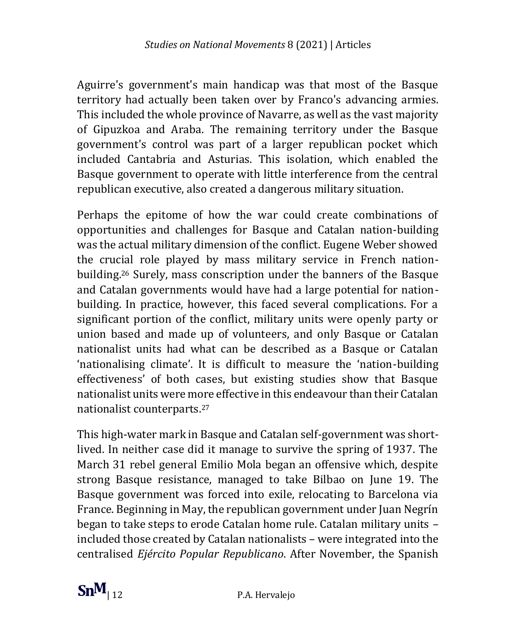Aguirre's government's main handicap was that most of the Basque territory had actually been taken over by Franco's advancing armies. This included the whole province of Navarre, as well as the vast majority of Gipuzkoa and Araba. The remaining territory under the Basque government's control was part of a larger republican pocket which included Cantabria and Asturias. This isolation, which enabled the Basque government to operate with little interference from the central republican executive, also created a dangerous military situation.

Perhaps the epitome of how the war could create combinations of opportunities and challenges for Basque and Catalan nation-building was the actual military dimension of the conflict. Eugene Weber showed the crucial role played by mass military service in French nationbuilding.<sup>26</sup> Surely, mass conscription under the banners of the Basque and Catalan governments would have had a large potential for nationbuilding. In practice, however, this faced several complications. For a significant portion of the conflict, military units were openly party or union based and made up of volunteers, and only Basque or Catalan nationalist units had what can be described as a Basque or Catalan 'nationalising climate'. It is difficult to measure the 'nation-building effectiveness' of both cases, but existing studies show that Basque nationalist units were more effective in this endeavour than their Catalan nationalist counterparts.<sup>27</sup>

This high-water mark in Basque and Catalan self-government was shortlived. In neither case did it manage to survive the spring of 1937. The March 31 rebel general Emilio Mola began an offensive which, despite strong Basque resistance, managed to take Bilbao on June 19. The Basque government was forced into exile, relocating to Barcelona via France. Beginning in May, the republican government under Juan Negrín began to take steps to erode Catalan home rule. Catalan military units – included those created by Catalan nationalists – were integrated into the centralised *Ejército Popular Republicano*. After November, the Spanish

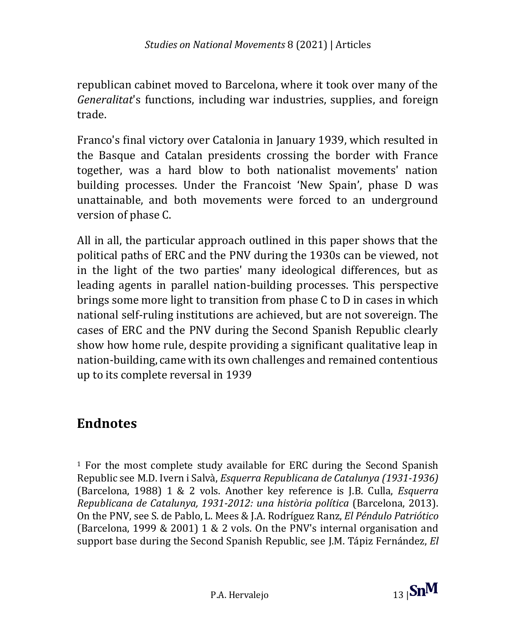republican cabinet moved to Barcelona, where it took over many of the *Generalitat*'s functions, including war industries, supplies, and foreign trade.

Franco's final victory over Catalonia in January 1939, which resulted in the Basque and Catalan presidents crossing the border with France together, was a hard blow to both nationalist movements' nation building processes. Under the Francoist 'New Spain', phase D was unattainable, and both movements were forced to an underground version of phase C.

All in all, the particular approach outlined in this paper shows that the political paths of ERC and the PNV during the 1930s can be viewed, not in the light of the two parties' many ideological differences, but as leading agents in parallel nation-building processes. This perspective brings some more light to transition from phase C to D in cases in which national self-ruling institutions are achieved, but are not sovereign. The cases of ERC and the PNV during the Second Spanish Republic clearly show how home rule, despite providing a significant qualitative leap in nation-building, came with its own challenges and remained contentious up to its complete reversal in 1939

#### **Endnotes**

<sup>1</sup> For the most complete study available for ERC during the Second Spanish Republic see M.D. Ivern i Salvà, *Esquerra Republicana de Catalunya (1931-1936)* (Barcelona, 1988) 1 & 2 vols. Another key reference is J.B. Culla, *Esquerra Republicana de Catalunya, 1931-2012: una història política* (Barcelona, 2013). On the PNV, see S. de Pablo, L. Mees & J.A. Rodríguez Ranz, *El Péndulo Patriótico* (Barcelona, 1999 & 2001) 1 & 2 vols. On the PNV's internal organisation and support base during the Second Spanish Republic, see J.M. Tápiz Fernández, *El* 

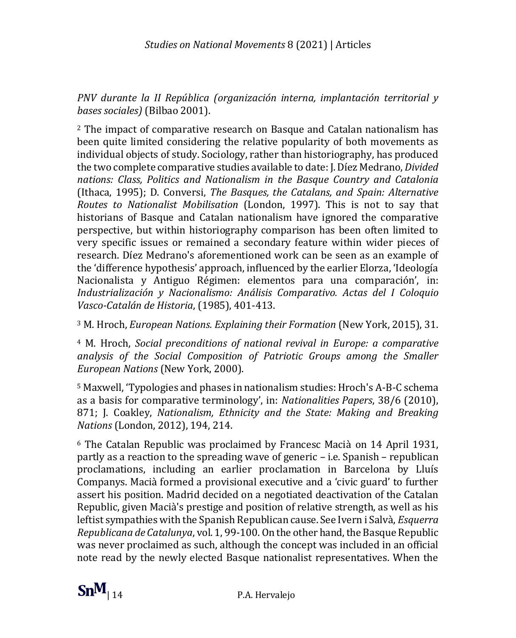*PNV durante la II República (organización interna, implantación territorial y bases sociales)* (Bilbao 2001).

<sup>2</sup> The impact of comparative research on Basque and Catalan nationalism has been quite limited considering the relative popularity of both movements as individual objects of study. Sociology, rather than historiography, has produced the two complete comparative studies available to date: J. Díez Medrano, *Divided nations: Class, Politics and Nationalism in the Basque Country and Catalonia* (Ithaca, 1995); D. Conversi, *The Basques, the Catalans, and Spain: Alternative Routes to Nationalist Mobilisation* (London, 1997). This is not to say that historians of Basque and Catalan nationalism have ignored the comparative perspective, but within historiography comparison has been often limited to very specific issues or remained a secondary feature within wider pieces of research. Díez Medrano's aforementioned work can be seen as an example of the 'difference hypothesis' approach, influenced by the earlier Elorza, 'Ideología Nacionalista y Antiguo Régimen: elementos para una comparación', in: *Industrialización y Nacionalismo: Análisis Comparativo. Actas del I Coloquio Vasco-Catalán de Historia*, (1985), 401-413.

<sup>3</sup> M. Hroch, *European Nations. Explaining their Formation* (New York, 2015), 31.

<sup>4</sup> M. Hroch, *Social preconditions of national revival in Europe: a comparative analysis of the Social Composition of Patriotic Groups among the Smaller European Nations* (New York, 2000).

<sup>5</sup> Maxwell, 'Typologies and phases in nationalism studies: Hroch's A-B-C schema as a basis for comparative terminology', in: *Nationalities Papers*, 38/6 (2010), 871; J. Coakley, *Nationalism, Ethnicity and the State: Making and Breaking Nations* (London, 2012), 194, 214.

<sup>6</sup> The Catalan Republic was proclaimed by Francesc Macià on 14 April 1931, partly as a reaction to the spreading wave of generic – i.e. Spanish – republican proclamations, including an earlier proclamation in Barcelona by Lluís Companys. Macià formed a provisional executive and a 'civic guard' to further assert his position. Madrid decided on a negotiated deactivation of the Catalan Republic, given Macià's prestige and position of relative strength, as well as his leftist sympathies with the Spanish Republican cause. See Ivern i Salvà, *Esquerra Republicana de Catalunya*, vol. 1, 99-100. On the other hand, the Basque Republic was never proclaimed as such, although the concept was included in an official note read by the newly elected Basque nationalist representatives. When the

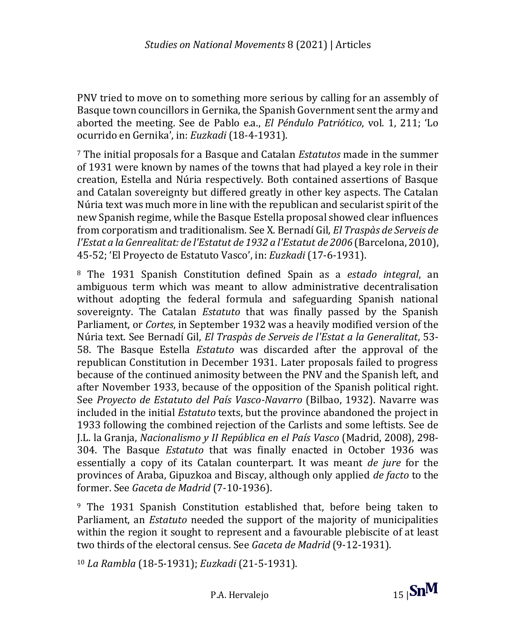PNV tried to move on to something more serious by calling for an assembly of Basque town councillors in Gernika, the Spanish Government sent the army and aborted the meeting. See de Pablo e.a., *El Péndulo Patriótico*, vol. 1, 211; 'Lo ocurrido en Gernika', in: *Euzkadi* (18-4-1931).

<sup>7</sup> The initial proposals for a Basque and Catalan *Estatutos* made in the summer of 1931 were known by names of the towns that had played a key role in their creation, Estella and Núria respectively. Both contained assertions of Basque and Catalan sovereignty but differed greatly in other key aspects. The Catalan Núria text was much more in line with the republican and secularist spirit of the new Spanish regime, while the Basque Estella proposal showed clear influences from corporatism and traditionalism. See X. Bernadí Gil, *El Traspàs de Serveis de l'Estat a la Genrealitat: de l'Estatut de 1932 a l'Estatut de 2006* (Barcelona, 2010), 45-52; 'El Proyecto de Estatuto Vasco', in: *Euzkadi* (17-6-1931).

<sup>8</sup> The 1931 Spanish Constitution defined Spain as a *estado integral*, an ambiguous term which was meant to allow administrative decentralisation without adopting the federal formula and safeguarding Spanish national sovereignty. The Catalan *Estatuto* that was finally passed by the Spanish Parliament, or *Cortes*, in September 1932 was a heavily modified version of the Núria text. See Bernadí Gil, *El Traspàs de Serveis de l'Estat a la Generalitat*, 53- 58. The Basque Estella *Estatuto* was discarded after the approval of the republican Constitution in December 1931. Later proposals failed to progress because of the continued animosity between the PNV and the Spanish left, and after November 1933, because of the opposition of the Spanish political right. See *Proyecto de Estatuto del País Vasco-Navarro* (Bilbao, 1932). Navarre was included in the initial *Estatuto* texts, but the province abandoned the project in 1933 following the combined rejection of the Carlists and some leftists. See de J.L. la Granja, *Nacionalismo y II República en el País Vasco* (Madrid, 2008), 298- 304. The Basque *Estatuto* that was finally enacted in October 1936 was essentially a copy of its Catalan counterpart. It was meant *de jure* for the provinces of Araba, Gipuzkoa and Biscay, although only applied *de facto* to the former. See *Gaceta de Madrid* (7-10-1936).

<sup>9</sup> The 1931 Spanish Constitution established that, before being taken to Parliament, an *Estatuto* needed the support of the majority of municipalities within the region it sought to represent and a favourable plebiscite of at least two thirds of the electoral census. See *Gaceta de Madrid* (9-12-1931).

<sup>10</sup> *La Rambla* (18-5-1931); *Euzkadi* (21-5-1931).

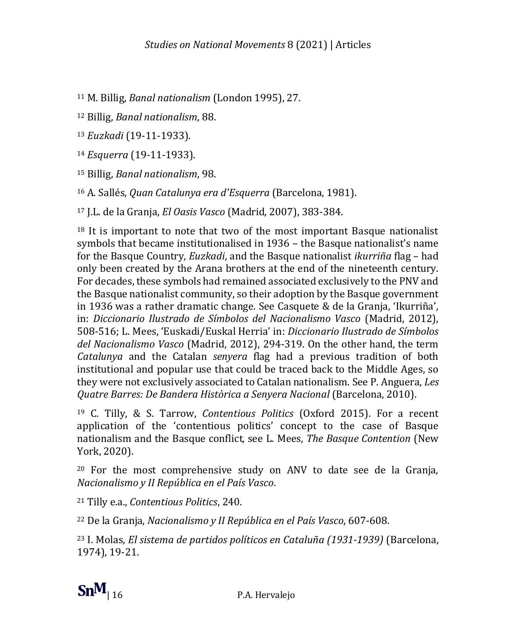<sup>11</sup> M. Billig, *Banal nationalism* (London 1995), 27.

<sup>12</sup> Billig, *Banal nationalism*, 88.

<sup>13</sup> *Euzkadi* (19-11-1933).

<sup>14</sup> *Esquerra* (19-11-1933).

<sup>15</sup> Billig, *Banal nationalism*, 98.

<sup>16</sup> A. Sallés, *Quan Catalunya era d'Esquerra* (Barcelona, 1981).

<sup>17</sup> J.L. de la Granja, *El Oasis Vasco* (Madrid, 2007), 383-384.

<sup>18</sup> It is important to note that two of the most important Basque nationalist symbols that became institutionalised in 1936 – the Basque nationalist's name for the Basque Country, *Euzkadi*, and the Basque nationalist *ikurriña* flag – had only been created by the Arana brothers at the end of the nineteenth century. For decades, these symbols had remained associated exclusively to the PNV and the Basque nationalist community, so their adoption by the Basque government in 1936 was a rather dramatic change. See Casquete & de la Granja, 'Ikurriña', in: *Diccionario Ilustrado de Símbolos del Nacionalismo Vasco* (Madrid, 2012), 508-516; L. Mees, 'Euskadi/Euskal Herria' in: *Diccionario Ilustrado de Símbolos del Nacionalismo Vasco* (Madrid, 2012), 294-319. On the other hand, the term *Catalunya* and the Catalan *senyera* flag had a previous tradition of both institutional and popular use that could be traced back to the Middle Ages, so they were not exclusively associated to Catalan nationalism. See P. Anguera, *Les Quatre Barres: De Bandera Històrica a Senyera Nacional* (Barcelona, 2010).

<sup>19</sup> C. Tilly, & S. Tarrow, *Contentious Politics* (Oxford 2015). For a recent application of the 'contentious politics' concept to the case of Basque nationalism and the Basque conflict, see L. Mees, *The Basque Contention* (New York, 2020).

<sup>20</sup> For the most comprehensive study on ANV to date see de la Granja, *Nacionalismo y II República en el País Vasco*.

<sup>21</sup> Tilly e.a., *Contentious Politics*, 240.

<sup>22</sup> De la Granja, *Nacionalismo y II República en el País Vasco*, 607-608.

<sup>23</sup> I. Molas, *El sistema de partidos políticos en Cataluña (1931-1939)* (Barcelona, 1974), 19-21.